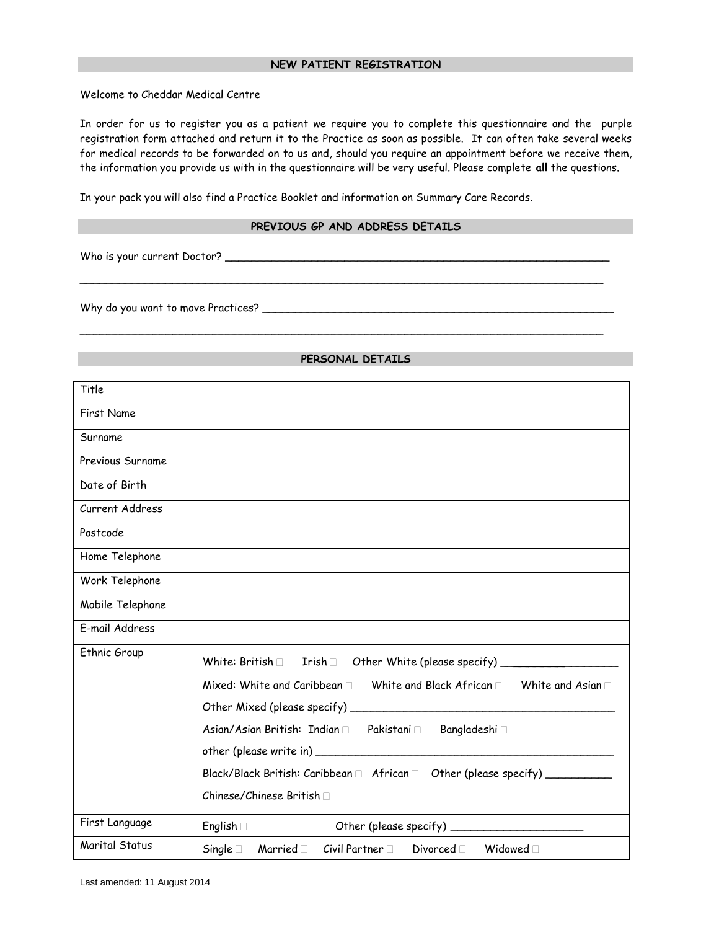Welcome to Cheddar Medical Centre

In order for us to register you as a patient we require you to complete this questionnaire and the purple registration form attached and return it to the Practice as soon as possible. It can often take several weeks for medical records to be forwarded on to us and, should you require an appointment before we receive them, the information you provide us with in the questionnaire will be very useful. Please complete **all** the questions.

In your pack you will also find a Practice Booklet and information on Summary Care Records.

#### **PREVIOUS GP AND ADDRESS DETAILS**

\_\_\_\_\_\_\_\_\_\_\_\_\_\_\_\_\_\_\_\_\_\_\_\_\_\_\_\_\_\_\_\_\_\_\_\_\_\_\_\_\_\_\_\_\_\_\_\_\_\_\_\_\_\_\_\_\_\_\_\_\_\_\_\_\_\_\_\_\_\_\_\_\_\_\_\_\_\_\_

\_\_\_\_\_\_\_\_\_\_\_\_\_\_\_\_\_\_\_\_\_\_\_\_\_\_\_\_\_\_\_\_\_\_\_\_\_\_\_\_\_\_\_\_\_\_\_\_\_\_\_\_\_\_\_\_\_\_\_\_\_\_\_\_\_\_\_\_\_\_\_\_\_\_\_\_\_\_\_

Who is your current Doctor? \_\_\_\_\_\_\_\_\_\_\_\_\_\_\_\_\_\_\_\_\_\_\_\_\_\_\_\_\_\_\_\_\_\_\_\_\_\_\_\_\_\_\_\_\_\_\_\_\_\_\_\_\_\_\_\_\_\_

Why do you want to move Practices? \_\_\_\_\_\_\_\_\_\_\_\_\_\_\_\_\_\_\_\_\_\_\_\_\_\_\_\_\_\_\_\_\_\_\_\_\_\_\_\_\_\_\_\_\_\_\_\_\_\_\_\_\_

| Title            |                                                                                                  |
|------------------|--------------------------------------------------------------------------------------------------|
| First Name       |                                                                                                  |
| Surname          |                                                                                                  |
| Previous Surname |                                                                                                  |
| Date of Birth    |                                                                                                  |
| Current Address  |                                                                                                  |
| Postcode         |                                                                                                  |
| Home Telephone   |                                                                                                  |
| Work Telephone   |                                                                                                  |
| Mobile Telephone |                                                                                                  |
| E-mail Address   |                                                                                                  |
| Ethnic Group     | White: British $\Box$ Irish $\Box$ Other White (please specify) _____________________            |
|                  | Mixed: White and Caribbean $\square$ White and Black African $\square$ White and Asian $\square$ |
|                  |                                                                                                  |
|                  | Asian/Asian British: Indian □ Pakistani □ Bangladeshi □                                          |
|                  |                                                                                                  |
|                  | Black/Black British: Caribbean □ African □ Other (please specify) _____________                  |
|                  | Chinese/Chinese British [                                                                        |
| First Language   | $English \Box$                                                                                   |
| Marital Status   | Single $\square$<br>Civil Partner $\Box$<br>Divorced Midowed D<br>Married <sub>D</sub>           |

**PERSONAL DETAILS**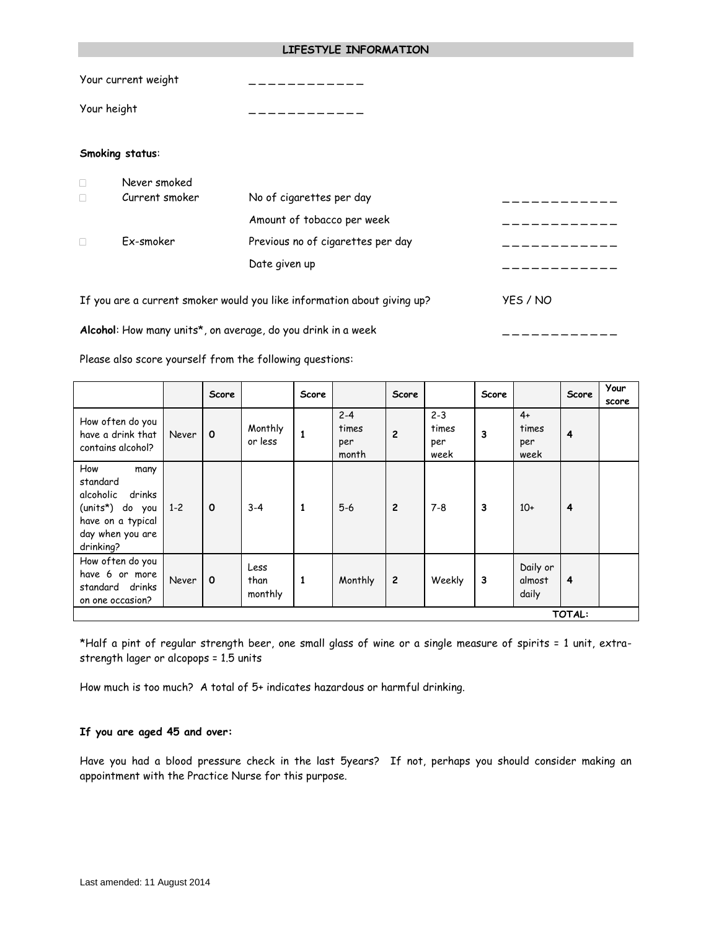#### **LIFESTYLE INFORMATION**

Your current weight

Your height \_ \_ \_ \_ \_ \_ \_ \_ \_ \_ \_ \_

### **Smoking status**:

| Never smoked   |                                                                         |          |
|----------------|-------------------------------------------------------------------------|----------|
| Current smoker | No of cigarettes per day                                                |          |
|                | Amount of tobacco per week                                              |          |
| Ex-smoker      | Previous no of cigarettes per day                                       |          |
|                | Date given up                                                           |          |
|                | If you are a current smoker would you like information about giving up? | YES / NO |

Alcohol: How many units<sup>\*</sup>, on average, do you drink in a week  $\overline{\phantom{a}}$  \_ \_ \_ \_ \_ \_ \_ \_ \_ \_ \_ \_ \_ \_ \_ \_ \_

Please also score yourself from the following questions:

|                                                                                                                         |         | Score       |                         | <b>Score</b> |                                  | Score          |                                 | Score |                              | Score | Your<br>score |
|-------------------------------------------------------------------------------------------------------------------------|---------|-------------|-------------------------|--------------|----------------------------------|----------------|---------------------------------|-------|------------------------------|-------|---------------|
| How often do you<br>have a drink that<br>contains alcohol?                                                              | Never   | $\mathbf 0$ | Monthly<br>or less      |              | $2 - 4$<br>times<br>per<br>month | $\overline{c}$ | $2 - 3$<br>times<br>per<br>week | 3     | $4+$<br>times<br>per<br>week | 4     |               |
| How<br>many<br>standard<br>drinks<br>alcoholic<br>(units*) do you<br>have on a typical<br>day when you are<br>drinking? | $1 - 2$ | $\mathbf 0$ | $3 - 4$                 | 1            | $5-6$                            | $\overline{c}$ | $7 - 8$                         | 3     | $10+$                        | 4     |               |
| How often do you<br>have 6 or more<br>standard drinks<br>on one occasion?                                               | Never   | $\Omega$    | Less<br>than<br>monthly | 1            | Monthly                          | $\overline{c}$ | Weekly                          | 3     | Daily or<br>almost<br>daily  | 4     |               |
| TOTAL:                                                                                                                  |         |             |                         |              |                                  |                |                                 |       |                              |       |               |

\*Half a pint of regular strength beer, one small glass of wine or a single measure of spirits = 1 unit, extrastrength lager or alcopops = 1.5 units

How much is too much? A total of 5+ indicates hazardous or harmful drinking.

#### **If you are aged 45 and over:**

Have you had a blood pressure check in the last 5years? If not, perhaps you should consider making an appointment with the Practice Nurse for this purpose.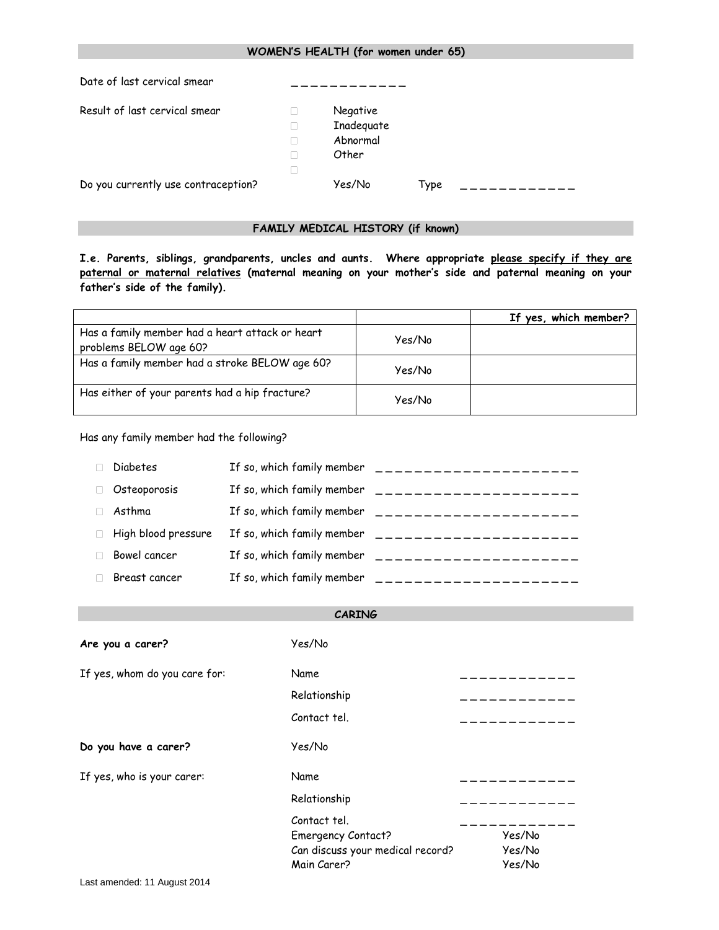| WOMEN'S HEALTH (for women under 65) |         |                                             |      |  |
|-------------------------------------|---------|---------------------------------------------|------|--|
| Date of last cervical smear         |         |                                             |      |  |
| Result of last cervical smear       | H<br>ΙП | Negative<br>Inadequate<br>Abnormal<br>Other |      |  |
| Do you currently use contraception? |         | Yes/No                                      | Type |  |

# **FAMILY MEDICAL HISTORY (if known)**

**I.e. Parents, siblings, grandparents, uncles and aunts. Where appropriate please specify if they are paternal or maternal relatives (maternal meaning on your mother's side and paternal meaning on your father's side of the family).**

|                                                                           |        | If yes, which member? |
|---------------------------------------------------------------------------|--------|-----------------------|
| Has a family member had a heart attack or heart<br>problems BELOW age 60? | Yes/No |                       |
| Has a family member had a stroke BELOW age 60?                            | Yes/No |                       |
| Has either of your parents had a hip fracture?                            | Yes/No |                       |

Has any family member had the following?

| <b>Diabetes</b>     | If so, which family member | --------------------- |
|---------------------|----------------------------|-----------------------|
| Osteoporosis        | If so, which family member |                       |
| Asthma              | If so, which family member | ____________________  |
| High blood pressure | If so, which family member | _____________________ |
| Bowel cancer        | If so, which family member | --------------------- |
| Breast cancer       | If so, which family member |                       |

| <b>CARING</b>                    |        |
|----------------------------------|--------|
| Yes/No                           |        |
| Name                             |        |
| Relationship                     |        |
| Contact tel.                     |        |
| Yes/No                           |        |
| Name                             |        |
| Relationship                     |        |
| Contact tel.                     |        |
| <b>Emergency Contact?</b>        | Yes/No |
| Can discuss your medical record? | Yes/No |
| Main Carer?                      | Yes/No |
|                                  |        |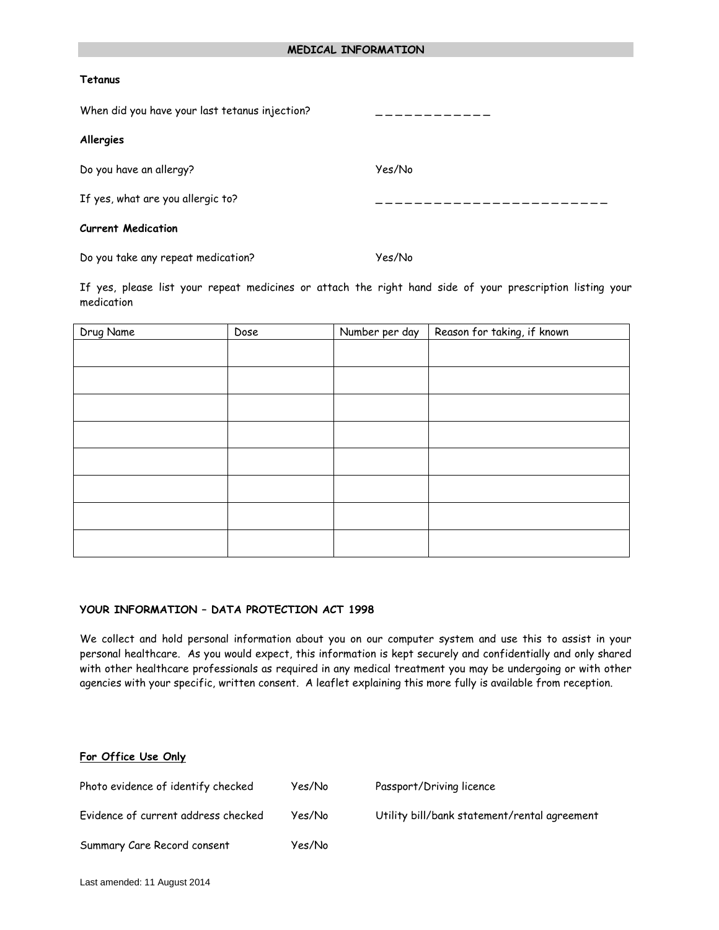#### **Tetanus**

| When did you have your last tetanus injection? |        |
|------------------------------------------------|--------|
| Allergies                                      |        |
| Do you have an allergy?                        | Yes/No |
| If yes, what are you allergic to?              |        |
| <b>Current Medication</b>                      |        |
|                                                |        |

Do you take any repeat medication? Yes/No

If yes, please list your repeat medicines or attach the right hand side of your prescription listing your medication

| Drug Name | Dose | Number per day | Reason for taking, if known |
|-----------|------|----------------|-----------------------------|
|           |      |                |                             |
|           |      |                |                             |
|           |      |                |                             |
|           |      |                |                             |
|           |      |                |                             |
|           |      |                |                             |
|           |      |                |                             |
|           |      |                |                             |
|           |      |                |                             |

#### **YOUR INFORMATION – DATA PROTECTION ACT 1998**

We collect and hold personal information about you on our computer system and use this to assist in your personal healthcare. As you would expect, this information is kept securely and confidentially and only shared with other healthcare professionals as required in any medical treatment you may be undergoing or with other agencies with your specific, written consent. A leaflet explaining this more fully is available from reception.

### **For Office Use Only**

Photo evidence of identify checked Yes/No Passport/Driving licence Evidence of current address checked Yes/No Utility bill/bank statement/rental agreement Summary Care Record consent Yes/No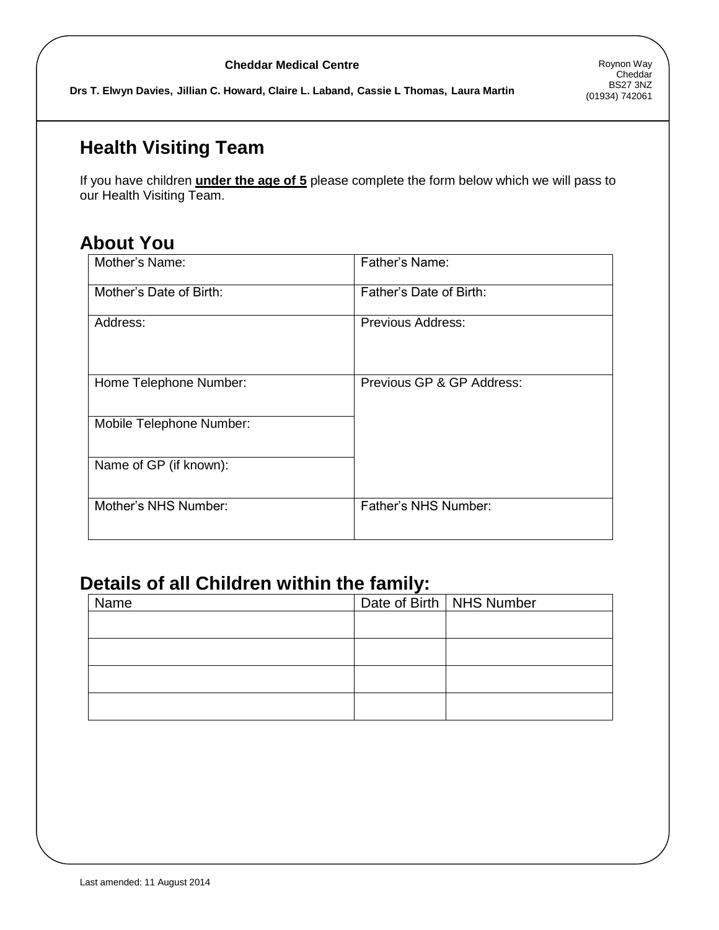### **Cheddar Medical Centre**

**Drs T. Elwyn Davies, Jillian C. Howard, Claire L. Laband, Cassie L Thomas, Laura Martin**

# **Health Visiting Team**

If you have children **under the age of 5** please complete the form below which we will pass to our Health Visiting Team.

# **About You**

| Mother's Name:           | Father's Name:            |
|--------------------------|---------------------------|
| Mother's Date of Birth:  | Father's Date of Birth:   |
| Address:                 | Previous Address:         |
| Home Telephone Number:   | Previous GP & GP Address: |
| Mobile Telephone Number: |                           |
| Name of GP (if known):   |                           |
| Mother's NHS Number:     | Father's NHS Number:      |

# **Details of all Children within the family:**

| Name | Date of Birth   NHS Number |
|------|----------------------------|
|      |                            |
|      |                            |
|      |                            |
|      |                            |